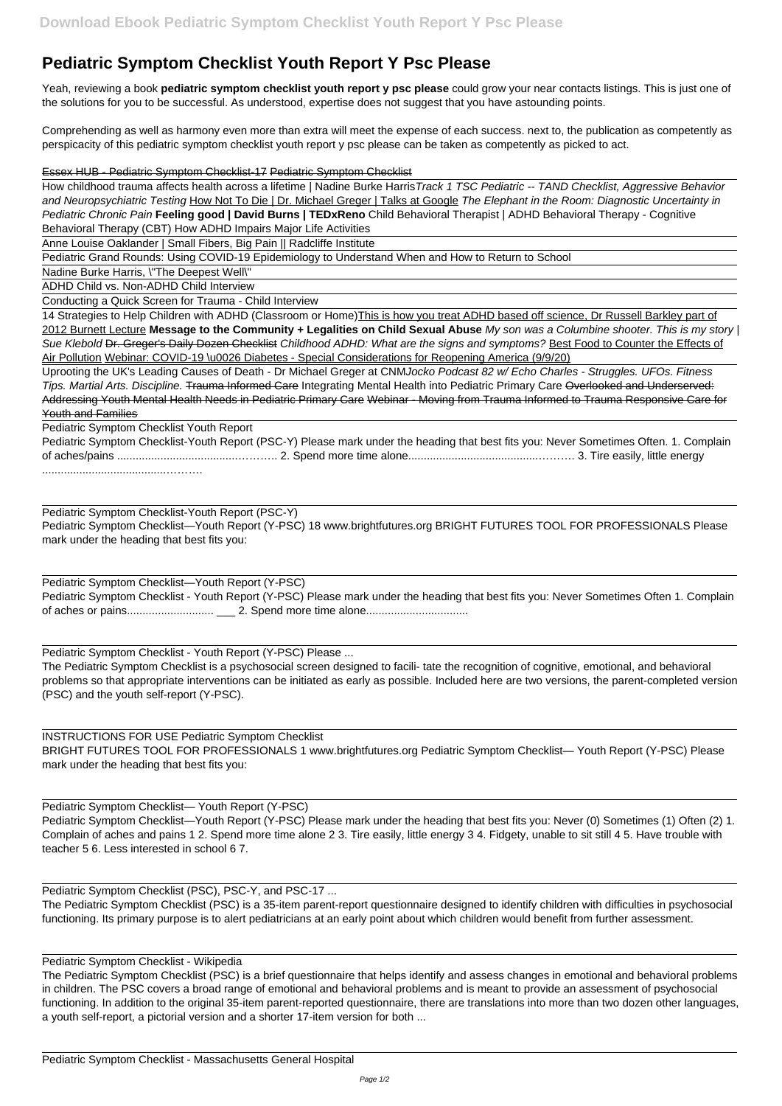## **Pediatric Symptom Checklist Youth Report Y Psc Please**

Yeah, reviewing a book **pediatric symptom checklist youth report y psc please** could grow your near contacts listings. This is just one of the solutions for you to be successful. As understood, expertise does not suggest that you have astounding points.

Comprehending as well as harmony even more than extra will meet the expense of each success. next to, the publication as competently as perspicacity of this pediatric symptom checklist youth report y psc please can be taken as competently as picked to act.

How childhood trauma affects health across a lifetime | Nadine Burke HarrisTrack 1 TSC Pediatric -- TAND Checklist, Aggressive Behavior and Neuropsychiatric Testing How Not To Die | Dr. Michael Greger | Talks at Google The Elephant in the Room: Diagnostic Uncertainty in Pediatric Chronic Pain **Feeling good | David Burns | TEDxReno** Child Behavioral Therapist | ADHD Behavioral Therapy - Cognitive Behavioral Therapy (CBT) How ADHD Impairs Major Life Activities

Essex HUB - Pediatric Symptom Checklist-17 Pediatric Symptom Checklist

14 Strategies to Help Children with ADHD (Classroom or Home)This is how you treat ADHD based off science, Dr Russell Barkley part of 2012 Burnett Lecture **Message to the Community + Legalities on Child Sexual Abuse** My son was a Columbine shooter. This is my story | Sue Klebold Dr. Greger's Daily Dozen Checklist Childhood ADHD: What are the signs and symptoms? Best Food to Counter the Effects of Air Pollution Webinar: COVID-19 \u0026 Diabetes - Special Considerations for Reopening America (9/9/20)

Anne Louise Oaklander | Small Fibers, Big Pain || Radcliffe Institute

Pediatric Grand Rounds: Using COVID-19 Epidemiology to Understand When and How to Return to School

Nadine Burke Harris, \"The Deepest Well\"

ADHD Child vs. Non-ADHD Child Interview

Conducting a Quick Screen for Trauma - Child Interview

Uprooting the UK's Leading Causes of Death - Dr Michael Greger at CNMJocko Podcast 82 w/ Echo Charles - Struggles. UFOs. Fitness Tips. Martial Arts. Discipline. Trauma Informed Care Integrating Mental Health into Pediatric Primary Care Overlooked and Underserved: Addressing Youth Mental Health Needs in Pediatric Primary Care Webinar - Moving from Trauma Informed to Trauma Responsive Care for Youth and Families

Pediatric Symptom Checklist Youth Report

| Pediatric Symptom Checklist-Youth Report (PSC-Y) Please mark under the heading that best fits you: Never Sometimes Often. 1. Complain |  |
|---------------------------------------------------------------------------------------------------------------------------------------|--|
|                                                                                                                                       |  |
|                                                                                                                                       |  |

Pediatric Symptom Checklist-Youth Report (PSC-Y) Pediatric Symptom Checklist—Youth Report (Y-PSC) 18 www.brightfutures.org BRIGHT FUTURES TOOL FOR PROFESSIONALS Please mark under the heading that best fits you:

Pediatric Symptom Checklist—Youth Report (Y-PSC) Pediatric Symptom Checklist - Youth Report (Y-PSC) Please mark under the heading that best fits you: Never Sometimes Often 1. Complain of aches or pains............................ \_\_\_ 2. Spend more time alone.................................

Pediatric Symptom Checklist - Youth Report (Y-PSC) Please ...

The Pediatric Symptom Checklist is a psychosocial screen designed to facili- tate the recognition of cognitive, emotional, and behavioral problems so that appropriate interventions can be initiated as early as possible. Included here are two versions, the parent-completed version (PSC) and the youth self-report (Y-PSC).

INSTRUCTIONS FOR USE Pediatric Symptom Checklist

BRIGHT FUTURES TOOL FOR PROFESSIONALS 1 www.brightfutures.org Pediatric Symptom Checklist— Youth Report (Y-PSC) Please mark under the heading that best fits you:

## Pediatric Symptom Checklist— Youth Report (Y-PSC)

Pediatric Symptom Checklist—Youth Report (Y-PSC) Please mark under the heading that best fits you: Never (0) Sometimes (1) Often (2) 1. Complain of aches and pains 1 2. Spend more time alone 2 3. Tire easily, little energy 3 4. Fidgety, unable to sit still 4 5. Have trouble with teacher 5 6. Less interested in school 6 7.

Pediatric Symptom Checklist (PSC), PSC-Y, and PSC-17 ...

The Pediatric Symptom Checklist (PSC) is a 35-item parent-report questionnaire designed to identify children with difficulties in psychosocial functioning. Its primary purpose is to alert pediatricians at an early point about which children would benefit from further assessment.

Pediatric Symptom Checklist - Wikipedia The Pediatric Symptom Checklist (PSC) is a brief questionnaire that helps identify and assess changes in emotional and behavioral problems in children. The PSC covers a broad range of emotional and behavioral problems and is meant to provide an assessment of psychosocial functioning. In addition to the original 35-item parent-reported questionnaire, there are translations into more than two dozen other languages, a youth self-report, a pictorial version and a shorter 17-item version for both ...

Pediatric Symptom Checklist - Massachusetts General Hospital